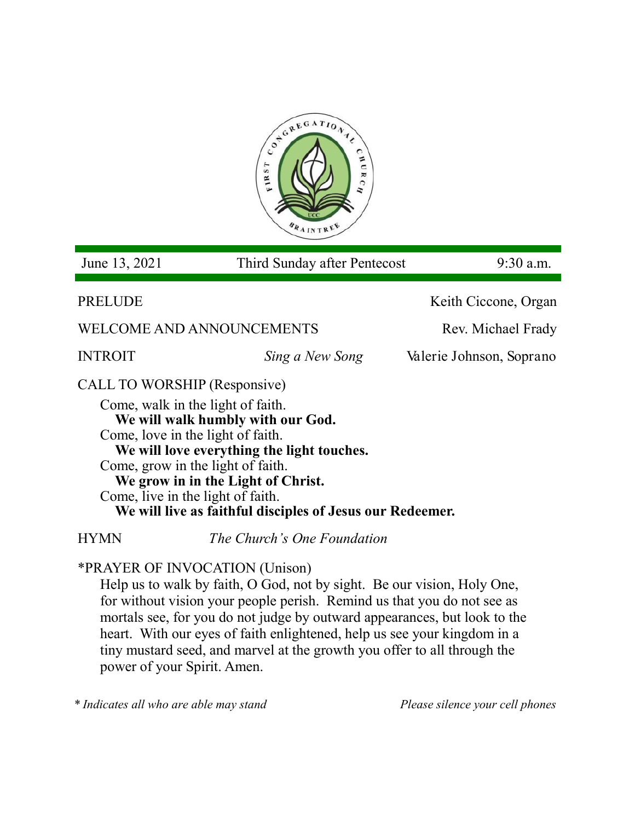

June 13, 2021 Third Sunday after Pentecost 9:30 a.m. PRELUDE Keith Ciccone, Organ WELCOME AND ANNOUNCEMENTS Rev. Michael Frady INTROIT *Sing a New Song* Valerie Johnson, Soprano CALL TO WORSHIP (Responsive) Come, walk in the light of faith. **We will walk humbly with our God.** Come, love in the light of faith. **We will love everything the light touches.** Come, grow in the light of faith. **We grow in in the Light of Christ.**  Come, live in the light of faith. **We will live as faithful disciples of Jesus our Redeemer.**

HYMN *The Church's One Foundation*

\*PRAYER OF INVOCATION (Unison)

Help us to walk by faith, O God, not by sight. Be our vision, Holy One, for without vision your people perish. Remind us that you do not see as mortals see, for you do not judge by outward appearances, but look to the heart. With our eyes of faith enlightened, help us see your kingdom in a tiny mustard seed, and marvel at the growth you offer to all through the power of your Spirit. Amen.

*\* Indicates all who are able may stand Please silence your cell phones*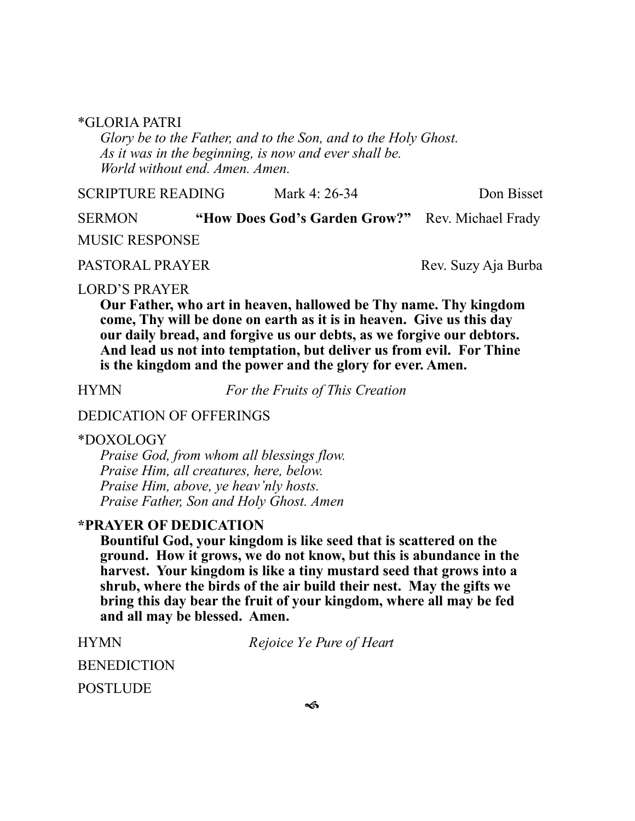#### \*GLORIA PATRI

*Glory be to the Father, and to the Son, and to the Holy Ghost. As it was in the beginning, is now and ever shall be. World without end. Amen. Amen.* 

SCRIPTURE READING Mark 4: 26-34 Don Bisset

SERMON **"How Does God's Garden Grow?"** Rev. Michael Frady MUSIC RESPONSE

PASTORAL PRAYER Rev. Suzy Aja Burba

### LORD'S PRAYER

**Our Father, who art in heaven, hallowed be Thy name. Thy kingdom come, Thy will be done on earth as it is in heaven. Give us this day our daily bread, and forgive us our debts, as we forgive our debtors. And lead us not into temptation, but deliver us from evil. For Thine is the kingdom and the power and the glory for ever. Amen.**

HYMN *For the Fruits of This Creation* 

## DEDICATION OF OFFERINGS

#### \*DOXOLOGY

*Praise God, from whom all blessings flow. Praise Him, all creatures, here, below. Praise Him, above, ye heav'nly hosts. Praise Father, Son and Holy Ghost. Amen*

### **\*PRAYER OF DEDICATION**

**Bountiful God, your kingdom is like seed that is scattered on the ground. How it grows, we do not know, but this is abundance in the harvest. Your kingdom is like a tiny mustard seed that grows into a shrub, where the birds of the air build their nest. May the gifts we bring this day bear the fruit of your kingdom, where all may be fed and all may be blessed. Amen.**

| <b>HYMN</b>        | <i>Rejoice Ye Pure of Heart</i> |
|--------------------|---------------------------------|
| <b>BENEDICTION</b> |                                 |
| <b>POSTLUDE</b>    |                                 |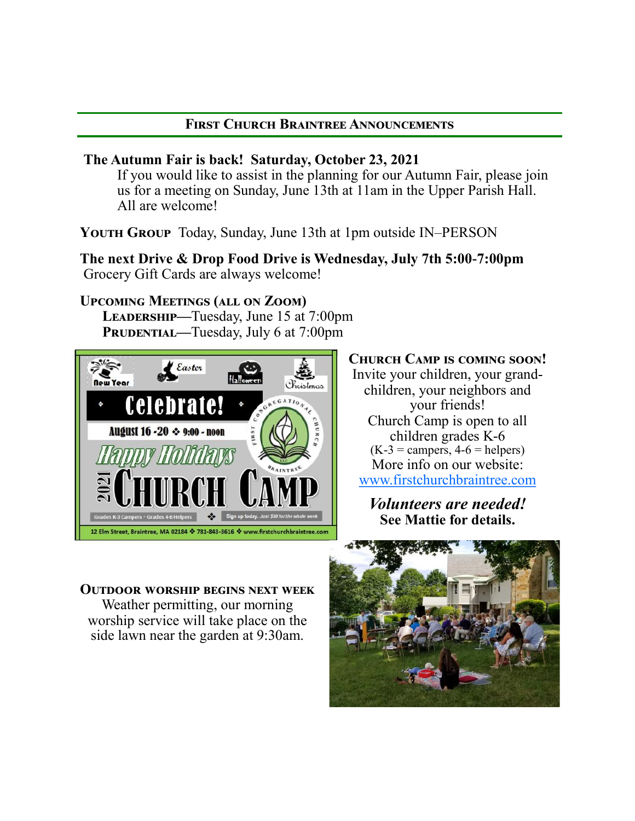## **First Church Braintree Announcements**

# **The Autumn Fair is back! Saturday, October 23, 2021**

If you would like to assist in the planning for our Autumn Fair, please join us for a meeting on Sunday, June 13th at 11am in the Upper Parish Hall. All are welcome!

**Youth Group** Today, Sunday, June 13th at 1pm outside IN–PERSON

**The next Drive & Drop Food Drive is Wednesday, July 7th 5:00-7:00pm** Grocery Gift Cards are always welcome!

# **Upcoming Meetings (all on Zoom)**

**Leadership—**Tuesday, June 15 at 7:00pm PRUDENTIAL—Tuesday, July 6 at 7:00pm



**Church Camp is coming soon!**

Invite your children, your grandchildren, your neighbors and your friends! Church Camp is open to all children grades K-6  $(K-3 = \text{campers}, 4-6 = \text{helpers})$ More info on our website: [www.firstchurchbraintree.com](http://www.firstchurchbraintree.com)

# *Volunteers are needed!*  **See Mattie for details.**

## **Outdoor worship begins next week**

Weather permitting, our morning worship service will take place on the side lawn near the garden at 9:30am.